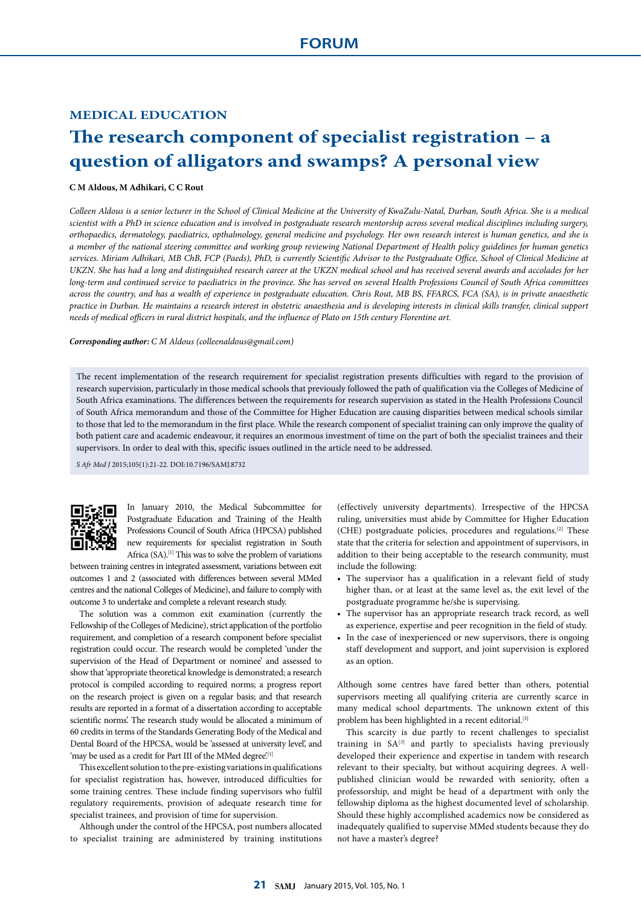## **MEDICAL EDUCATION**

## **The research component of specialist registration – a question of alligators and swamps? A personal view**

## **C M Aldous, M Adhikari, C C Rout**

*Colleen Aldous is a senior lecturer in the School of Clinical Medicine at the University of KwaZulu-Natal, Durban, South Africa. She is a medical scientist with a PhD in science education and is involved in postgraduate research mentorship across several medical disciplines including surgery, orthopaedics, dermatology, paediatrics, opthalmology, general medicine and psychology. Her own research interest is human genetics, and she is a member of the national steering committee and working group reviewing National Department of Health policy guidelines for human genetics services. Miriam Adhikari, MB ChB, FCP (Paeds), PhD, is currently Scientific Advisor to the Postgraduate Office, School of Clinical Medicine at UKZN. She has had a long and distinguished research career at the UKZN medical school and has received several awards and accolades for her long-term and continued service to paediatrics in the province. She has served on several Health Professions Council of South Africa committees across the country, and has a wealth of experience in postgraduate education. Chris Rout, MB BS, FFARCS, FCA (SA), is in private anaesthetic practice in Durban. He maintains a research interest in obstetric anaesthesia and is developing interests in clinical skills transfer, clinical support needs of medical officers in rural district hospitals, and the influence of Plato on 15th century Florentine art.*

*Corresponding author: C M Aldous (colleenaldous@gmail.com)*

The recent implementation of the research requirement for specialist registration presents difficulties with regard to the provision of research supervision, particularly in those medical schools that previously followed the path of qualification via the Colleges of Medicine of South Africa examinations. The differences between the requirements for research supervision as stated in the Health Professions Council of South Africa memorandum and those of the Committee for Higher Education are causing disparities between medical schools similar to those that led to the memorandum in the first place. While the research component of specialist training can only improve the quality of both patient care and academic endeavour, it requires an enormous investment of time on the part of both the specialist trainees and their supervisors. In order to deal with this, specific issues outlined in the article need to be addressed.

*S Afr Med J* 2015;105(1):21-22. DOI:10.7196/SAMJ.8732



In January 2010, the Medical Subcommittee for Postgraduate Education and Training of the Health Professions Council of South Africa (HPCSA) published new requirements for specialist registration in South Africa (SA).<sup>[1]</sup> This was to solve the problem of variations

between training centres in integrated assessment, variations between exit outcomes 1 and 2 (associated with differences between several MMed centres and the national Colleges of Medicine), and failure to comply with outcome 3 to undertake and complete a relevant research study.

The solution was a common exit examination (currently the Fellowship of the Colleges of Medicine), strict application of the portfolio requirement, and completion of a research component before specialist registration could occur. The research would be completed 'under the supervision of the Head of Department or nominee' and assessed to show that 'appropriate theoretical knowledge is demonstrated; a research protocol is compiled according to required norms; a progress report on the research project is given on a regular basis; and that research results are reported in a format of a dissertation according to acceptable scientific norms'. The research study would be allocated a minimum of 60 credits in terms of the Standards Generating Body of the Medical and Dental Board of the HPCSA, would be 'assessed at university level', and 'may be used as a credit for Part III of the MMed degree.<sup>[1]</sup>

This excellent solution to the pre-existing variations in qualifications for specialist registration has, however, introduced difficulties for some training centres. These include finding supervisors who fulfil regulatory requirements, provision of adequate research time for specialist trainees, and provision of time for supervision.

Although under the control of the HPCSA, post numbers allocated to specialist training are administered by training institutions

(effectively university departments). Irrespective of the HPCSA ruling, universities must abide by Committee for Higher Education (CHE) postgraduate policies, procedures and regulations.[2] These state that the criteria for selection and appointment of supervisors, in addition to their being acceptable to the research community, must include the following:

- The supervisor has a qualification in a relevant field of study higher than, or at least at the same level as, the exit level of the postgraduate programme he/she is supervising.
- The supervisor has an appropriate research track record, as well as experience, expertise and peer recognition in the field of study.
- In the case of inexperienced or new supervisors, there is ongoing staff development and support, and joint supervision is explored as an option.

Although some centres have fared better than others, potential supervisors meeting all qualifying criteria are currently scarce in many medical school departments. The unknown extent of this problem has been highlighted in a recent editorial.<sup>[3]</sup>

This scarcity is due partly to recent challenges to specialist training in SA<sup>[3]</sup> and partly to specialists having previously developed their experience and expertise in tandem with research relevant to their specialty, but without acquiring degrees. A wellpublished clinician would be rewarded with seniority, often a professorship, and might be head of a department with only the fellowship diploma as the highest documented level of scholarship. Should these highly accomplished academics now be considered as inadequately qualified to supervise MMed students because they do not have a master's degree?